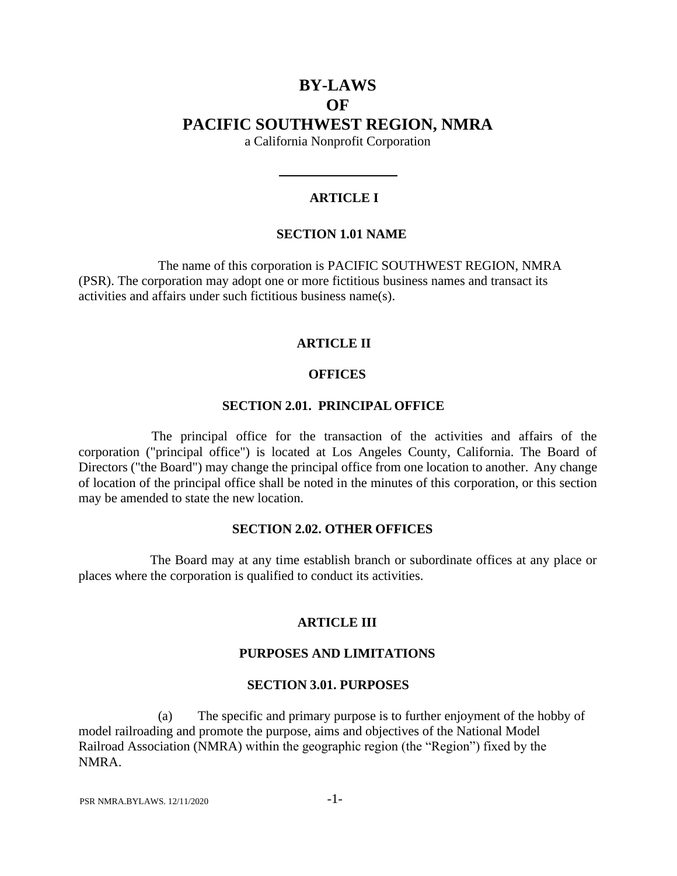# **BY-LAWS OF PACIFIC SOUTHWEST REGION, NMRA**

a California Nonprofit Corporation

### **ARTICLE I**

#### **SECTION 1.01 NAME**

The name of this corporation is PACIFIC SOUTHWEST REGION, NMRA (PSR). The corporation may adopt one or more fictitious business names and transact its activities and affairs under such fictitious business name(s).

#### **ARTICLE II**

### **OFFICES**

#### **SECTION 2.01. PRINCIPAL OFFICE**

The principal office for the transaction of the activities and affairs of the corporation ("principal office") is located at Los Angeles County, California. The Board of Directors ("the Board") may change the principal office from one location to another. Any change of location of the principal office shall be noted in the minutes of this corporation, or this section may be amended to state the new location.

#### **SECTION 2.02. OTHER OFFICES**

The Board may at any time establish branch or subordinate offices at any place or places where the corporation is qualified to conduct its activities.

#### **ARTICLE III**

### **PURPOSES AND LIMITATIONS**

#### **SECTION 3.01. PURPOSES**

(a) The specific and primary purpose is to further enjoyment of the hobby of model railroading and promote the purpose, aims and objectives of the National Model Railroad Association (NMRA) within the geographic region (the "Region") fixed by the NMRA.

PSR NMRA.BYLAWS. 12/11/2020 -1-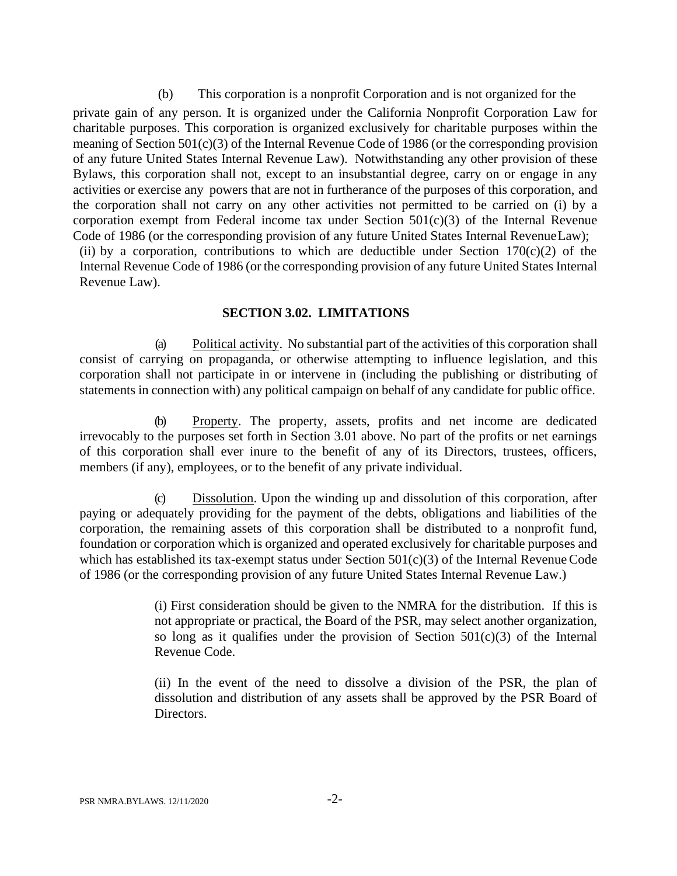(b) This corporation is a nonprofit Corporation and is not organized for the private gain of any person. It is organized under the California Nonprofit Corporation Law for charitable purposes. This corporation is organized exclusively for charitable purposes within the meaning of Section 501(c)(3) of the Internal Revenue Code of 1986 (or the corresponding provision of any future United States Internal Revenue Law). Notwithstanding any other provision of these Bylaws, this corporation shall not, except to an insubstantial degree, carry on or engage in any activities or exercise any powers that are not in furtherance of the purposes of this corporation, and the corporation shall not carry on any other activities not permitted to be carried on (i) by a corporation exempt from Federal income tax under Section  $501(c)(3)$  of the Internal Revenue Code of 1986 (or the corresponding provision of any future United States Internal RevenueLaw); (ii) by a corporation, contributions to which are deductible under Section  $170(c)(2)$  of the Internal Revenue Code of 1986 (or the corresponding provision of any future United States Internal Revenue Law).

#### **SECTION 3.02. LIMITATIONS**

(a) Political activity. No substantial part of the activities of this corporation shall consist of carrying on propaganda, or otherwise attempting to influence legislation, and this corporation shall not participate in or intervene in (including the publishing or distributing of statements in connection with) any political campaign on behalf of any candidate for public office.

(b) Property. The property, assets, profits and net income are dedicated irrevocably to the purposes set forth in Section 3.01 above. No part of the profits or net earnings of this corporation shall ever inure to the benefit of any of its Directors, trustees, officers, members (if any), employees, or to the benefit of any private individual.

(c) Dissolution. Upon the winding up and dissolution of this corporation, after paying or adequately providing for the payment of the debts, obligations and liabilities of the corporation, the remaining assets of this corporation shall be distributed to a nonprofit fund, foundation or corporation which is organized and operated exclusively for charitable purposes and which has established its tax-exempt status under Section  $501(c)(3)$  of the Internal Revenue Code of 1986 (or the corresponding provision of any future United States Internal Revenue Law.)

> (i) First consideration should be given to the NMRA for the distribution. If this is not appropriate or practical, the Board of the PSR, may select another organization, so long as it qualifies under the provision of Section  $501(c)(3)$  of the Internal Revenue Code.

> (ii) In the event of the need to dissolve a division of the PSR, the plan of dissolution and distribution of any assets shall be approved by the PSR Board of Directors.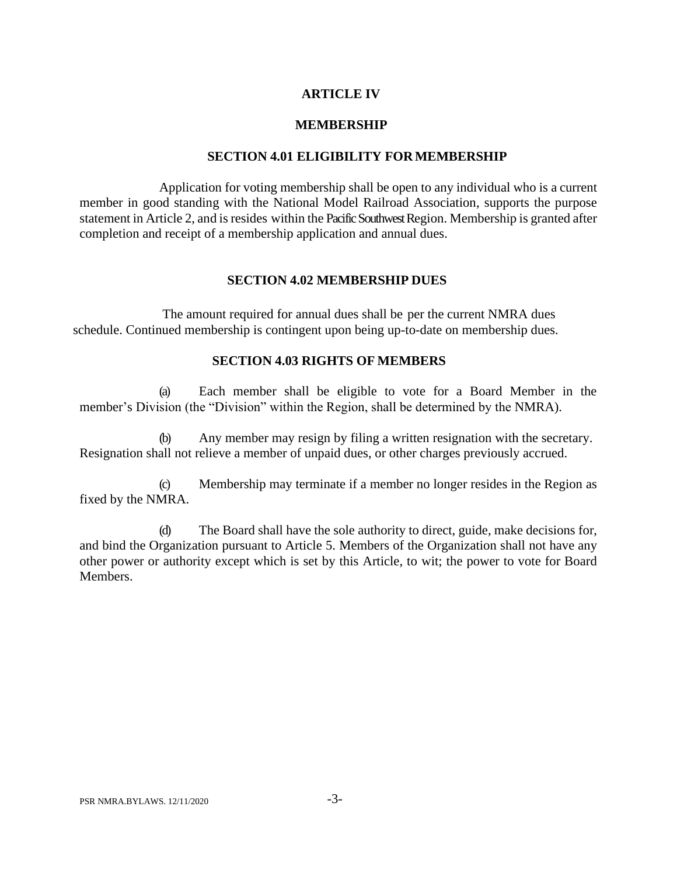## **ARTICLE IV**

#### **MEMBERSHIP**

#### **SECTION 4.01 ELIGIBILITY FORMEMBERSHIP**

Application for voting membership shall be open to any individual who is a current member in good standing with the National Model Railroad Association, supports the purpose statement in Article 2, and is resides within the Pacific Southwest Region. Membership is granted after completion and receipt of a membership application and annual dues.

#### **SECTION 4.02 MEMBERSHIP DUES**

The amount required for annual dues shall be per the current NMRA dues schedule. Continued membership is contingent upon being up-to-date on membership dues.

### **SECTION 4.03 RIGHTS OF MEMBERS**

(a) Each member shall be eligible to vote for a Board Member in the member's Division (the "Division" within the Region, shall be determined by the NMRA).

(b) Any member may resign by filing a written resignation with the secretary. Resignation shall not relieve a member of unpaid dues, or other charges previously accrued.

(c) Membership may terminate if a member no longer resides in the Region as fixed by the NMRA.

(d) The Board shall have the sole authority to direct, guide, make decisions for, and bind the Organization pursuant to Article 5. Members of the Organization shall not have any other power or authority except which is set by this Article, to wit; the power to vote for Board Members.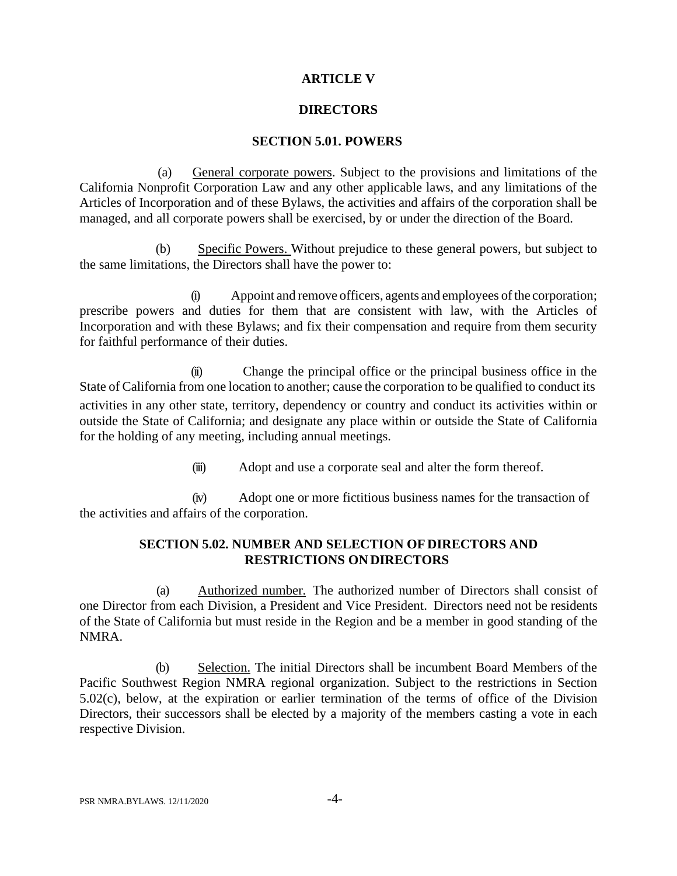## **ARTICLE V**

## **DIRECTORS**

### **SECTION 5.01. POWERS**

(a) General corporate powers. Subject to the provisions and limitations of the California Nonprofit Corporation Law and any other applicable laws, and any limitations of the Articles of Incorporation and of these Bylaws, the activities and affairs of the corporation shall be managed, and all corporate powers shall be exercised, by or under the direction of the Board.

(b) Specific Powers. Without prejudice to these general powers, but subject to the same limitations, the Directors shall have the power to:

(i) Appoint and remove officers, agents and employees of the corporation; prescribe powers and duties for them that are consistent with law, with the Articles of Incorporation and with these Bylaws; and fix their compensation and require from them security for faithful performance of their duties.

(ii) Change the principal office or the principal business office in the State of California from one location to another; cause the corporation to be qualified to conduct its activities in any other state, territory, dependency or country and conduct its activities within or outside the State of California; and designate any place within or outside the State of California for the holding of any meeting, including annual meetings.

(iii) Adopt and use a corporate seal and alter the form thereof.

(iv) Adopt one or more fictitious business names for the transaction of the activities and affairs of the corporation.

## **SECTION 5.02. NUMBER AND SELECTION OF DIRECTORS AND RESTRICTIONS ON DIRECTORS**

(a) Authorized number. The authorized number of Directors shall consist of one Director from each Division, a President and Vice President. Directors need not be residents of the State of California but must reside in the Region and be a member in good standing of the NMRA.

(b) Selection. The initial Directors shall be incumbent Board Members of the Pacific Southwest Region NMRA regional organization. Subject to the restrictions in Section 5.02(c), below, at the expiration or earlier termination of the terms of office of the Division Directors, their successors shall be elected by a majority of the members casting a vote in each respective Division.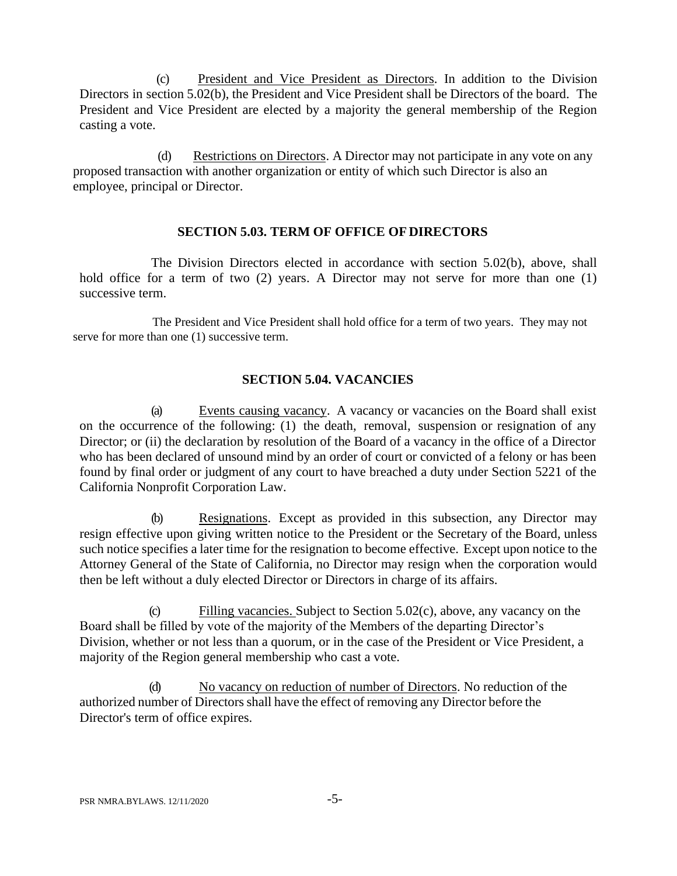(c) President and Vice President as Directors. In addition to the Division Directors in section 5.02(b), the President and Vice President shall be Directors of the board. The President and Vice President are elected by a majority the general membership of the Region casting a vote.

(d) Restrictions on Directors. A Director may not participate in any vote on any proposed transaction with another organization or entity of which such Director is also an employee, principal or Director.

## **SECTION 5.03. TERM OF OFFICE OF DIRECTORS**

The Division Directors elected in accordance with section 5.02(b), above, shall hold office for a term of two (2) years. A Director may not serve for more than one (1) successive term.

The President and Vice President shall hold office for a term of two years. They may not serve for more than one (1) successive term.

## **SECTION 5.04. VACANCIES**

(a) Events causing vacancy. A vacancy or vacancies on the Board shall exist on the occurrence of the following: (1) the death, removal, suspension or resignation of any Director; or (ii) the declaration by resolution of the Board of a vacancy in the office of a Director who has been declared of unsound mind by an order of court or convicted of a felony or has been found by final order or judgment of any court to have breached a duty under Section 5221 of the California Nonprofit Corporation Law.

(b) Resignations. Except as provided in this subsection, any Director may resign effective upon giving written notice to the President or the Secretary of the Board, unless such notice specifies a later time for the resignation to become effective. Except upon notice to the Attorney General of the State of California, no Director may resign when the corporation would then be left without a duly elected Director or Directors in charge of its affairs.

(c) Filling vacancies. Subject to Section 5.02(c), above, any vacancy on the Board shall be filled by vote of the majority of the Members of the departing Director's Division, whether or not less than a quorum, or in the case of the President or Vice President, a majority of the Region general membership who cast a vote.

(d) No vacancy on reduction of number of Directors. No reduction of the authorized number of Directors shall have the effect of removing any Director before the Director's term of office expires.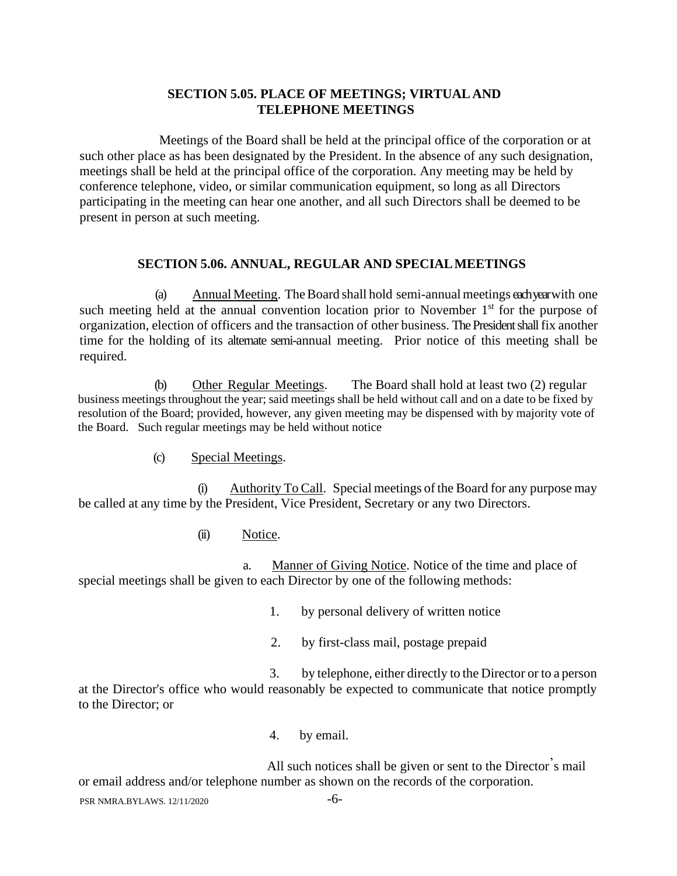## **SECTION 5.05. PLACE OF MEETINGS; VIRTUAL AND TELEPHONE MEETINGS**

Meetings of the Board shall be held at the principal office of the corporation or at such other place as has been designated by the President. In the absence of any such designation, meetings shall be held at the principal office of the corporation. Any meeting may be held by conference telephone, video, or similar communication equipment, so long as all Directors participating in the meeting can hear one another, and all such Directors shall be deemed to be present in person at such meeting.

### **SECTION 5.06. ANNUAL, REGULAR AND SPECIALMEETINGS**

(a) Annual Meeting. TheBoard shall hold semi-annualmeetings each yearwith one such meeting held at the annual convention location prior to November  $1<sup>st</sup>$  for the purpose of organization, election of officers and the transaction of other business. The President shall fix another time for the holding of its alternate semi-annual meeting. Prior notice of this meeting shall be required.

(b) Other Regular Meetings. The Board shall hold at least two (2) regular business meetings throughout the year; said meetings shall be held without call and on a date to be fixed by resolution of the Board; provided, however, any given meeting may be dispensed with by majority vote of the Board. Such regular meetings may be held without notice

(c) Special Meetings.

(i) Authority To Call. Special meetings of the Board for any purpose may be called at any time by the President, Vice President, Secretary or any two Directors.

## (ii) Notice.

a. Manner of Giving Notice. Notice of the time and place of special meetings shall be given to each Director by one of the following methods:

- 1. by personal delivery of written notice
- 2. by first-class mail, postage prepaid

3. by telephone, either directly to the Director or to a person at the Director's office who would reasonably be expected to communicate that notice promptly to the Director; or

4. by email.

All such notices shall be given or sent to the Director's mail or email address and/or telephone number as shown on the records of the corporation.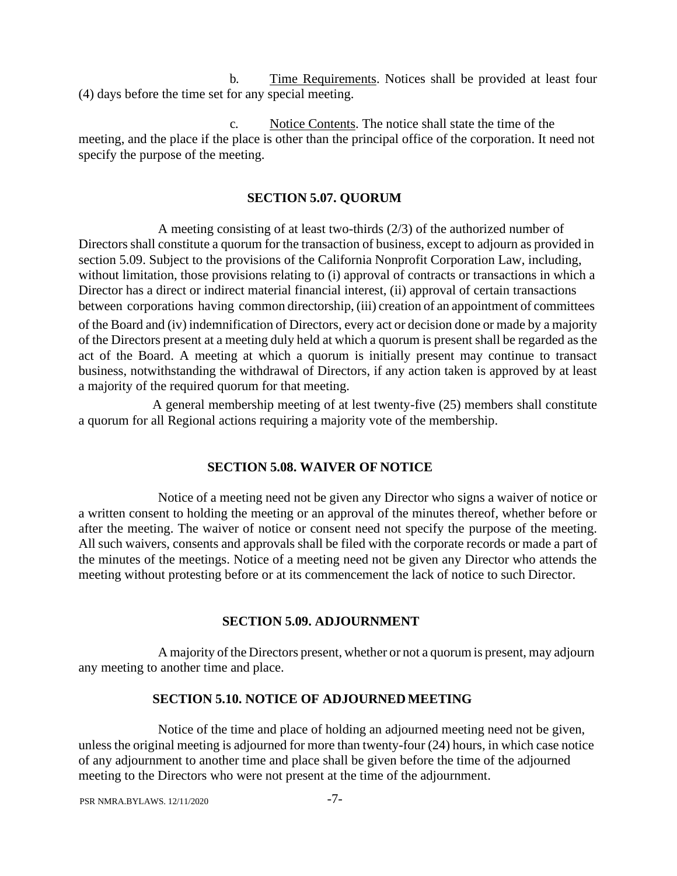b. Time Requirements. Notices shall be provided at least four (4) days before the time set for any special meeting.

c. Notice Contents. The notice shall state the time of the meeting, and the place if the place is other than the principal office of the corporation. It need not specify the purpose of the meeting.

## **SECTION 5.07. QUORUM**

A meeting consisting of at least two-thirds (2/3) of the authorized number of Directors shall constitute a quorum for the transaction of business, except to adjourn as provided in section 5.09. Subject to the provisions of the California Nonprofit Corporation Law, including, without limitation, those provisions relating to (i) approval of contracts or transactions in which a Director has a direct or indirect material financial interest, (ii) approval of certain transactions between corporations having common directorship, (iii) creation of an appointment of committees

of the Board and (iv) indemnification of Directors, every act or decision done or made by a majority of the Directors present at a meeting duly held at which a quorum is present shall be regarded as the act of the Board. A meeting at which a quorum is initially present may continue to transact business, notwithstanding the withdrawal of Directors, if any action taken is approved by at least a majority of the required quorum for that meeting.

A general membership meeting of at lest twenty-five (25) members shall constitute a quorum for all Regional actions requiring a majority vote of the membership.

## **SECTION 5.08. WAIVER OF NOTICE**

Notice of a meeting need not be given any Director who signs a waiver of notice or a written consent to holding the meeting or an approval of the minutes thereof, whether before or after the meeting. The waiver of notice or consent need not specify the purpose of the meeting. All such waivers, consents and approvals shall be filed with the corporate records or made a part of the minutes of the meetings. Notice of a meeting need not be given any Director who attends the meeting without protesting before or at its commencement the lack of notice to such Director.

## **SECTION 5.09. ADJOURNMENT**

A majority of the Directors present, whether or not a quorum is present, may adjourn any meeting to another time and place.

## **SECTION 5.10. NOTICE OF ADJOURNEDMEETING**

Notice of the time and place of holding an adjourned meeting need not be given, unless the original meeting is adjourned for more than twenty-four (24) hours, in which case notice of any adjournment to another time and place shall be given before the time of the adjourned meeting to the Directors who were not present at the time of the adjournment.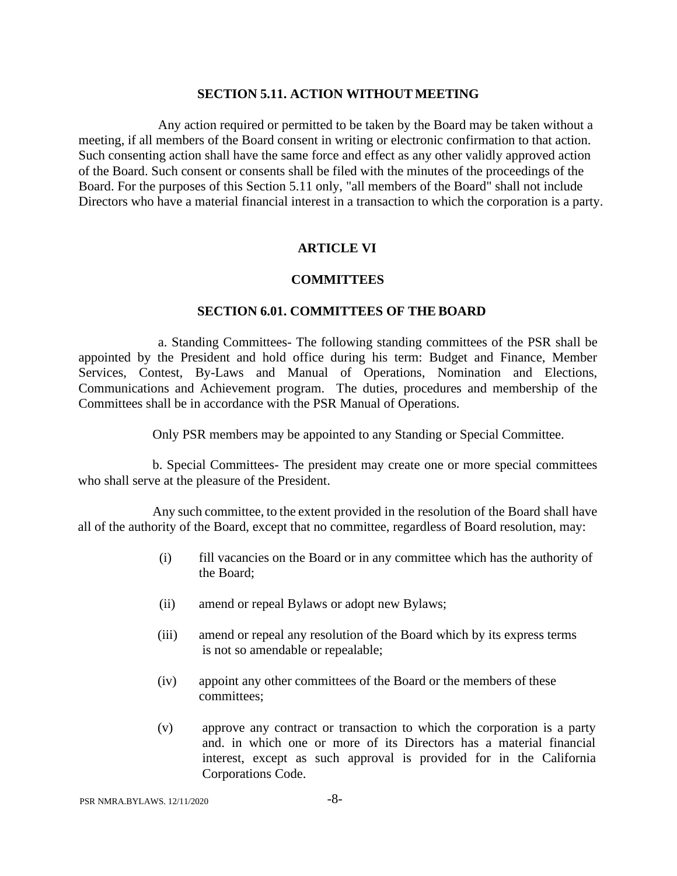#### **SECTION 5.11. ACTION WITHOUT MEETING**

Any action required or permitted to be taken by the Board may be taken without a meeting, if all members of the Board consent in writing or electronic confirmation to that action. Such consenting action shall have the same force and effect as any other validly approved action of the Board. Such consent or consents shall be filed with the minutes of the proceedings of the Board. For the purposes of this Section 5.11 only, "all members of the Board" shall not include Directors who have a material financial interest in a transaction to which the corporation is a party.

## **ARTICLE VI**

### **COMMITTEES**

#### **SECTION 6.01. COMMITTEES OF THE BOARD**

a. Standing Committees- The following standing committees of the PSR shall be appointed by the President and hold office during his term: Budget and Finance, Member Services, Contest, By-Laws and Manual of Operations, Nomination and Elections, Communications and Achievement program. The duties, procedures and membership of the Committees shall be in accordance with the PSR Manual of Operations.

Only PSR members may be appointed to any Standing or Special Committee.

b. Special Committees- The president may create one or more special committees who shall serve at the pleasure of the President.

Any such committee, to the extent provided in the resolution of the Board shall have all of the authority of the Board, except that no committee, regardless of Board resolution, may:

- (i) fill vacancies on the Board or in any committee which has the authority of the Board;
- (ii) amend or repeal Bylaws or adopt new Bylaws;
- (iii) amend or repeal any resolution of the Board which by its express terms is not so amendable or repealable;
- (iv) appoint any other committees of the Board or the members of these committees;
- (v) approve any contract or transaction to which the corporation is a party and. in which one or more of its Directors has a material financial interest, except as such approval is provided for in the California Corporations Code.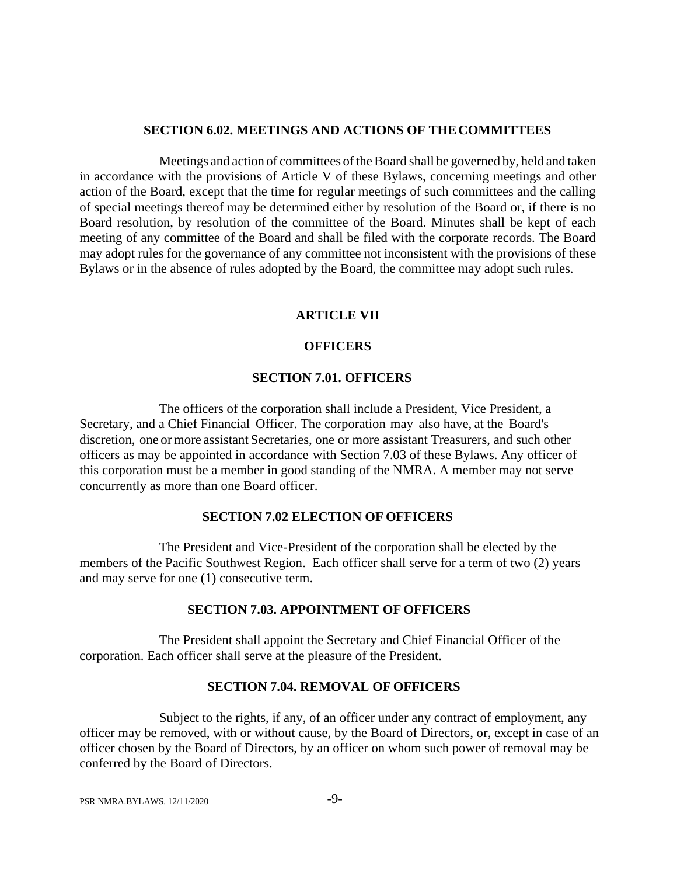#### **SECTION 6.02. MEETINGS AND ACTIONS OF THECOMMITTEES**

Meetings and action of committees of the Board shall be governed by, held and taken in accordance with the provisions of Article V of these Bylaws, concerning meetings and other action of the Board, except that the time for regular meetings of such committees and the calling of special meetings thereof may be determined either by resolution of the Board or, if there is no Board resolution, by resolution of the committee of the Board. Minutes shall be kept of each meeting of any committee of the Board and shall be filed with the corporate records. The Board may adopt rules for the governance of any committee not inconsistent with the provisions of these Bylaws or in the absence of rules adopted by the Board, the committee may adopt such rules.

#### **ARTICLE VII**

### **OFFICERS**

### **SECTION 7.01. OFFICERS**

The officers of the corporation shall include a President, Vice President, a Secretary, and a Chief Financial Officer. The corporation may also have, at the Board's discretion, one or more assistant Secretaries, one or more assistant Treasurers, and such other officers as may be appointed in accordance with Section 7.03 of these Bylaws. Any officer of this corporation must be a member in good standing of the NMRA. A member may not serve concurrently as more than one Board officer.

#### **SECTION 7.02 ELECTION OF OFFICERS**

The President and Vice-President of the corporation shall be elected by the members of the Pacific Southwest Region. Each officer shall serve for a term of two (2) years and may serve for one (1) consecutive term.

### **SECTION 7.03. APPOINTMENT OF OFFICERS**

The President shall appoint the Secretary and Chief Financial Officer of the corporation. Each officer shall serve at the pleasure of the President.

#### **SECTION 7.04. REMOVAL OF OFFICERS**

Subject to the rights, if any, of an officer under any contract of employment, any officer may be removed, with or without cause, by the Board of Directors, or, except in case of an officer chosen by the Board of Directors, by an officer on whom such power of removal may be conferred by the Board of Directors.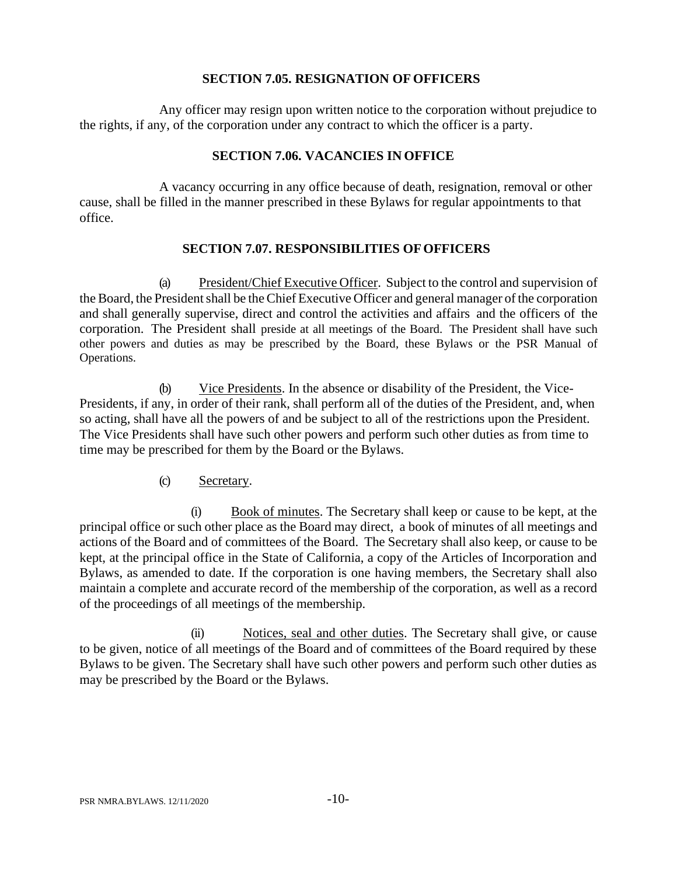## **SECTION 7.05. RESIGNATION OF OFFICERS**

Any officer may resign upon written notice to the corporation without prejudice to the rights, if any, of the corporation under any contract to which the officer is a party.

## **SECTION 7.06. VACANCIES IN OFFICE**

A vacancy occurring in any office because of death, resignation, removal or other cause, shall be filled in the manner prescribed in these Bylaws for regular appointments to that office.

## **SECTION 7.07. RESPONSIBILITIES OFOFFICERS**

(a) President/Chief Executive Officer. Subject to the control and supervision of the Board, the President shall be the Chief Executive Officer and general manager of the corporation and shall generally supervise, direct and control the activities and affairs and the officers of the corporation. The President shall preside at all meetings of the Board. The President shall have such other powers and duties as may be prescribed by the Board, these Bylaws or the PSR Manual of Operations.

(b) Vice Presidents. In the absence or disability of the President, the Vice-Presidents, if any, in order of their rank, shall perform all of the duties of the President, and, when so acting, shall have all the powers of and be subject to all of the restrictions upon the President. The Vice Presidents shall have such other powers and perform such other duties as from time to time may be prescribed for them by the Board or the Bylaws.

## (c) Secretary.

(i) Book of minutes. The Secretary shall keep or cause to be kept, at the principal office or such other place as the Board may direct, a book of minutes of all meetings and actions of the Board and of committees of the Board. The Secretary shall also keep, or cause to be kept, at the principal office in the State of California, a copy of the Articles of Incorporation and Bylaws, as amended to date. If the corporation is one having members, the Secretary shall also maintain a complete and accurate record of the membership of the corporation, as well as a record of the proceedings of all meetings of the membership.

(ii) Notices, seal and other duties. The Secretary shall give, or cause to be given, notice of all meetings of the Board and of committees of the Board required by these Bylaws to be given. The Secretary shall have such other powers and perform such other duties as may be prescribed by the Board or the Bylaws.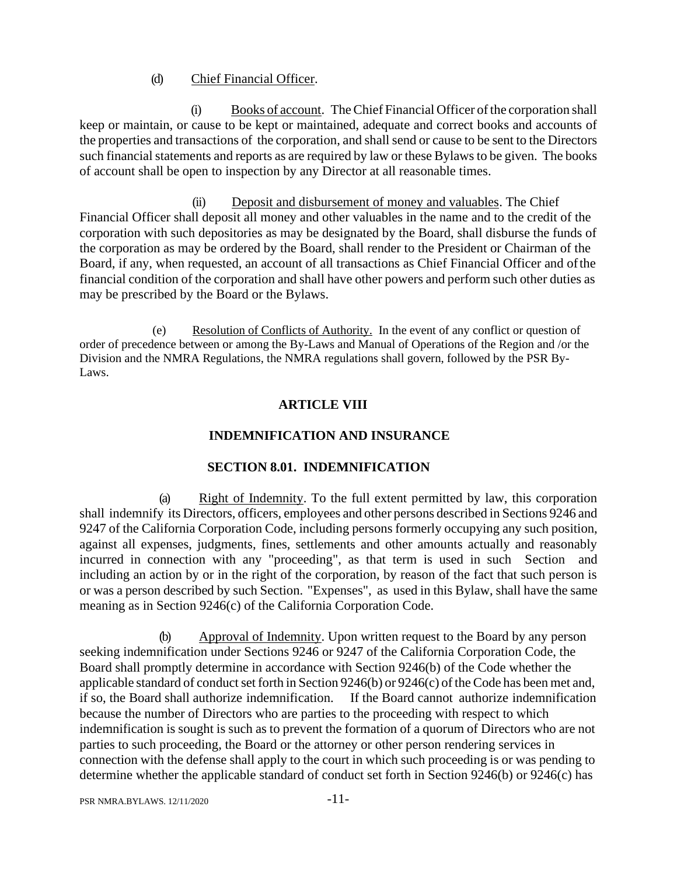## (d) Chief Financial Officer.

(i) Books of account. TheChief Financial Officer ofthe corporation shall keep or maintain, or cause to be kept or maintained, adequate and correct books and accounts of the properties and transactions of the corporation, and shall send or cause to be sent to the Directors such financial statements and reports as are required by law or these Bylaws to be given. The books of account shall be open to inspection by any Director at all reasonable times.

(ii) Deposit and disbursement of money and valuables. The Chief Financial Officer shall deposit all money and other valuables in the name and to the credit of the corporation with such depositories as may be designated by the Board, shall disburse the funds of the corporation as may be ordered by the Board, shall render to the President or Chairman of the Board, if any, when requested, an account of all transactions as Chief Financial Officer and ofthe financial condition of the corporation and shall have other powers and perform such other duties as may be prescribed by the Board or the Bylaws.

(e) Resolution of Conflicts of Authority. In the event of any conflict or question of order of precedence between or among the By-Laws and Manual of Operations of the Region and /or the Division and the NMRA Regulations, the NMRA regulations shall govern, followed by the PSR By-Laws.

## **ARTICLE VIII**

## **INDEMNIFICATION AND INSURANCE**

## **SECTION 8.01. INDEMNIFICATION**

(a) Right of Indemnity. To the full extent permitted by law, this corporation shall indemnify its Directors, officers, employees and other persons described in Sections 9246 and 9247 of the California Corporation Code, including persons formerly occupying any such position, against all expenses, judgments, fines, settlements and other amounts actually and reasonably incurred in connection with any "proceeding", as that term is used in such Section and including an action by or in the right of the corporation, by reason of the fact that such person is or was a person described by such Section. "Expenses", as used in this Bylaw, shall have the same meaning as in Section 9246(c) of the California Corporation Code.

(b) Approval of Indemnity. Upon written request to the Board by any person seeking indemnification under Sections 9246 or 9247 of the California Corporation Code, the Board shall promptly determine in accordance with Section 9246(b) of the Code whether the applicable standard of conduct set forth in Section  $9246(b)$  or  $9246(c)$  of the Code has been met and, if so, the Board shall authorize indemnification. If the Board cannot authorize indemnification because the number of Directors who are parties to the proceeding with respect to which indemnification is sought is such as to prevent the formation of a quorum of Directors who are not parties to such proceeding, the Board or the attorney or other person rendering services in connection with the defense shall apply to the court in which such proceeding is or was pending to determine whether the applicable standard of conduct set forth in Section 9246(b) or 9246(c) has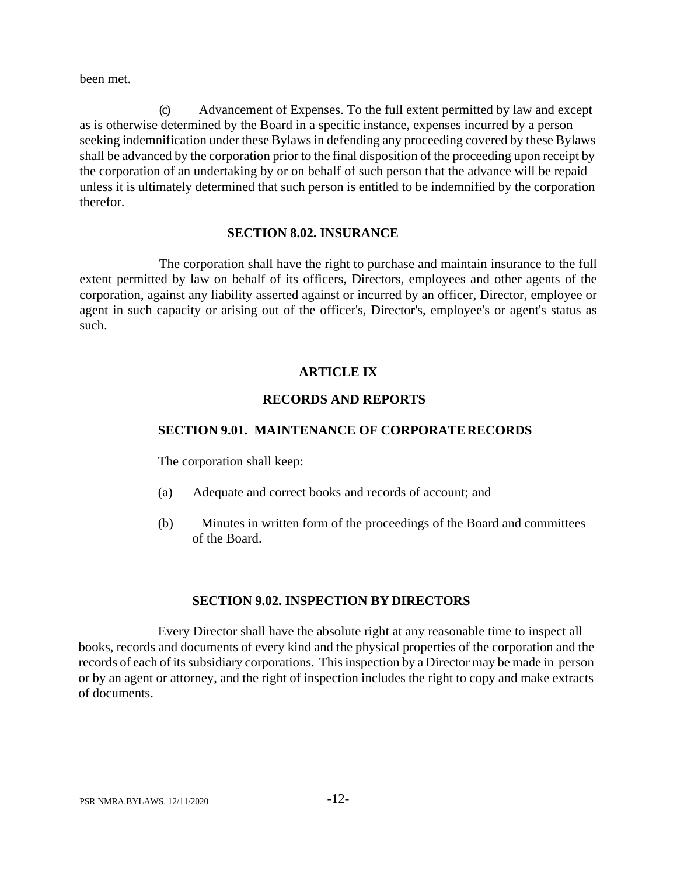been met.

(c) Advancement of Expenses. To the full extent permitted by law and except as is otherwise determined by the Board in a specific instance, expenses incurred by a person seeking indemnification under these Bylaws in defending any proceeding covered by these Bylaws shall be advanced by the corporation prior to the final disposition of the proceeding upon receipt by the corporation of an undertaking by or on behalf of such person that the advance will be repaid unless it is ultimately determined that such person is entitled to be indemnified by the corporation therefor.

### **SECTION 8.02. INSURANCE**

The corporation shall have the right to purchase and maintain insurance to the full extent permitted by law on behalf of its officers, Directors, employees and other agents of the corporation, against any liability asserted against or incurred by an officer, Director, employee or agent in such capacity or arising out of the officer's, Director's, employee's or agent's status as such.

## **ARTICLE IX**

## **RECORDS AND REPORTS**

## **SECTION 9.01. MAINTENANCE OF CORPORATERECORDS**

The corporation shall keep:

- (a) Adequate and correct books and records of account; and
- (b) Minutes in written form of the proceedings of the Board and committees of the Board.

## **SECTION 9.02. INSPECTION BY DIRECTORS**

Every Director shall have the absolute right at any reasonable time to inspect all books, records and documents of every kind and the physical properties of the corporation and the records of each of its subsidiary corporations. This inspection by a Director may be made in person or by an agent or attorney, and the right of inspection includes the right to copy and make extracts of documents.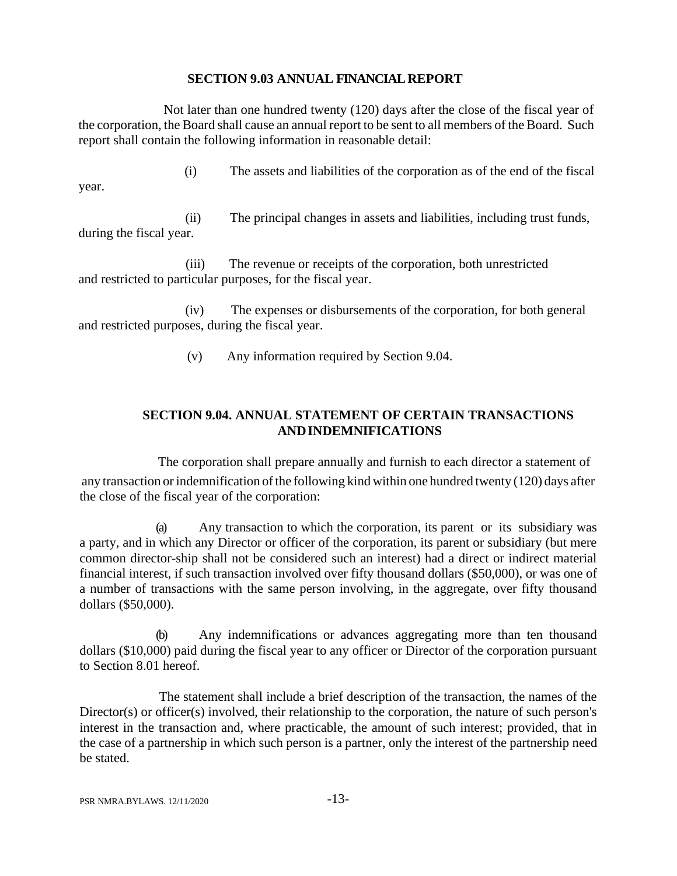## **SECTION 9.03 ANNUAL FINANCIAL REPORT**

Not later than one hundred twenty (120) days after the close of the fiscal year of the corporation, the Board shall cause an annual report to be sent to all members of the Board. Such report shall contain the following information in reasonable detail:

(i) The assets and liabilities of the corporation as of the end of the fiscal year.

(ii) The principal changes in assets and liabilities, including trust funds, during the fiscal year.

(iii) The revenue or receipts of the corporation, both unrestricted and restricted to particular purposes, for the fiscal year.

(iv) The expenses or disbursements of the corporation, for both general and restricted purposes, during the fiscal year.

(v) Any information required by Section 9.04.

## **SECTION 9.04. ANNUAL STATEMENT OF CERTAIN TRANSACTIONS ANDINDEMNIFICATIONS**

The corporation shall prepare annually and furnish to each director a statement of any transaction or indemnification of the following kind within one hundred twenty (120) days after the close of the fiscal year of the corporation:

(a) Any transaction to which the corporation, its parent or its subsidiary was a party, and in which any Director or officer of the corporation, its parent or subsidiary (but mere common director-ship shall not be considered such an interest) had a direct or indirect material financial interest, if such transaction involved over fifty thousand dollars (\$50,000), or was one of a number of transactions with the same person involving, in the aggregate, over fifty thousand dollars (\$50,000).

(b) Any indemnifications or advances aggregating more than ten thousand dollars (\$10,000) paid during the fiscal year to any officer or Director of the corporation pursuant to Section 8.01 hereof.

The statement shall include a brief description of the transaction, the names of the Director(s) or officer(s) involved, their relationship to the corporation, the nature of such person's interest in the transaction and, where practicable, the amount of such interest; provided, that in the case of a partnership in which such person is a partner, only the interest of the partnership need be stated.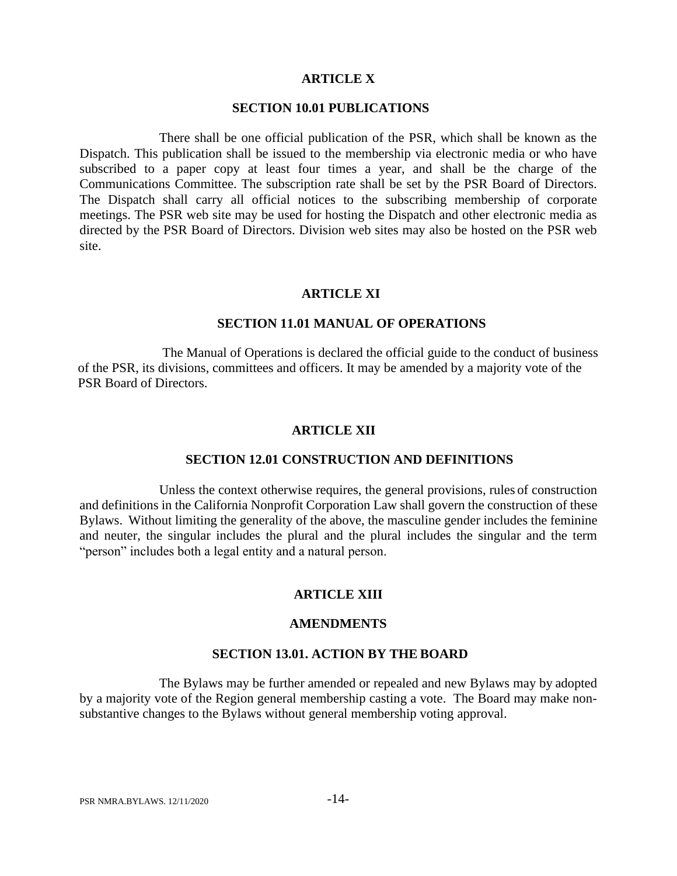#### **ARTICLE X**

### **SECTION 10.01 PUBLICATIONS**

There shall be one official publication of the PSR, which shall be known as the Dispatch. This publication shall be issued to the membership via electronic media or who have subscribed to a paper copy at least four times a year, and shall be the charge of the Communications Committee. The subscription rate shall be set by the PSR Board of Directors. The Dispatch shall carry all official notices to the subscribing membership of corporate meetings. The PSR web site may be used for hosting the Dispatch and other electronic media as directed by the PSR Board of Directors. Division web sites may also be hosted on the PSR web site.

#### **ARTICLE XI**

#### **SECTION 11.01 MANUAL OF OPERATIONS**

The Manual of Operations is declared the official guide to the conduct of business of the PSR, its divisions, committees and officers. It may be amended by a majority vote of the PSR Board of Directors.

#### **ARTICLE XII**

#### **SECTION 12.01 CONSTRUCTION AND DEFINITIONS**

Unless the context otherwise requires, the general provisions, rules of construction and definitions in the California Nonprofit Corporation Law shall govern the construction of these Bylaws. Without limiting the generality of the above, the masculine gender includes the feminine and neuter, the singular includes the plural and the plural includes the singular and the term "person" includes both a legal entity and a natural person.

#### **ARTICLE XIII**

#### **AMENDMENTS**

#### **SECTION 13.01. ACTION BY THE BOARD**

The Bylaws may be further amended or repealed and new Bylaws may by adopted by a majority vote of the Region general membership casting a vote. The Board may make nonsubstantive changes to the Bylaws without general membership voting approval.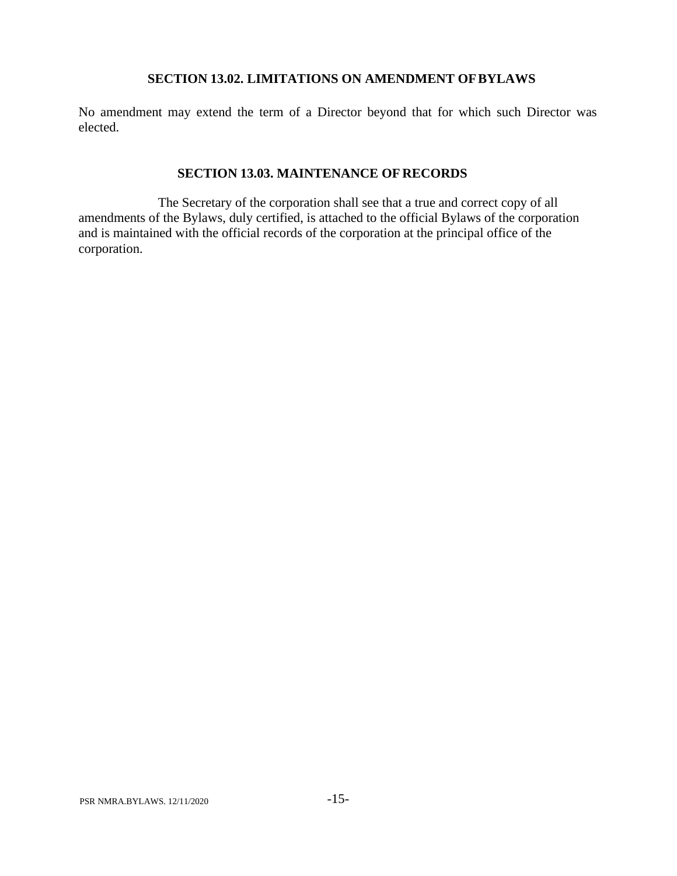### **SECTION 13.02. LIMITATIONS ON AMENDMENT OFBYLAWS**

No amendment may extend the term of a Director beyond that for which such Director was elected.

### **SECTION 13.03. MAINTENANCE OF RECORDS**

The Secretary of the corporation shall see that a true and correct copy of all amendments of the Bylaws, duly certified, is attached to the official Bylaws of the corporation and is maintained with the official records of the corporation at the principal office of the corporation.